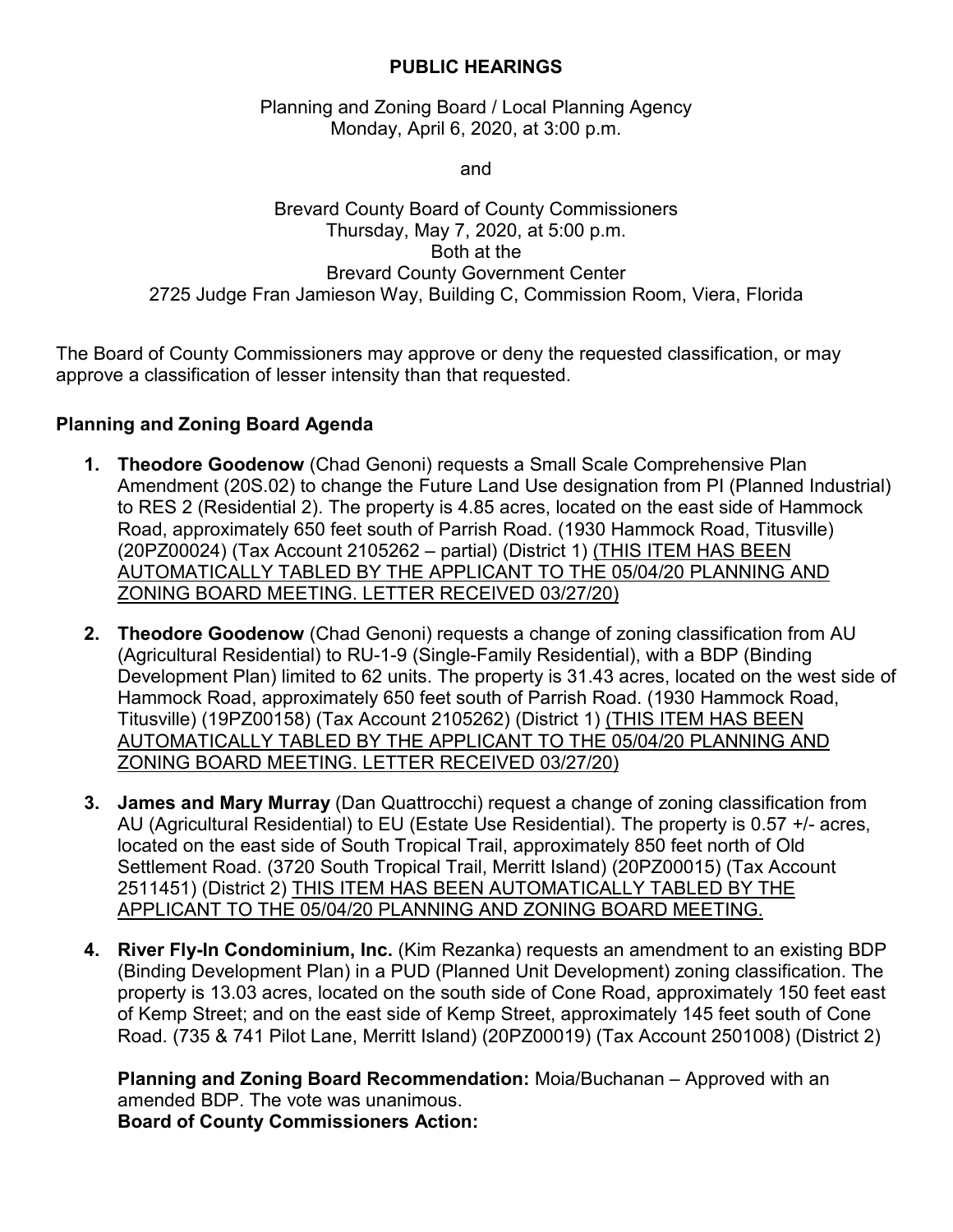## **PUBLIC HEARINGS**

Planning and Zoning Board / Local Planning Agency Monday, April 6, 2020, at 3:00 p.m.

and

## Brevard County Board of County Commissioners Thursday, May 7, 2020, at 5:00 p.m. Both at the Brevard County Government Center 2725 Judge Fran Jamieson Way, Building C, Commission Room, Viera, Florida

The Board of County Commissioners may approve or deny the requested classification, or may approve a classification of lesser intensity than that requested.

## **Planning and Zoning Board Agenda**

- **1. Theodore Goodenow** (Chad Genoni) requests a Small Scale Comprehensive Plan Amendment (20S.02) to change the Future Land Use designation from PI (Planned Industrial) to RES 2 (Residential 2). The property is 4.85 acres, located on the east side of Hammock Road, approximately 650 feet south of Parrish Road. (1930 Hammock Road, Titusville) (20PZ00024) (Tax Account 2105262 – partial) (District 1) (THIS ITEM HAS BEEN AUTOMATICALLY TABLED BY THE APPLICANT TO THE 05/04/20 PLANNING AND ZONING BOARD MEETING. LETTER RECEIVED 03/27/20)
- **2. Theodore Goodenow** (Chad Genoni) requests a change of zoning classification from AU (Agricultural Residential) to RU-1-9 (Single-Family Residential), with a BDP (Binding Development Plan) limited to 62 units. The property is 31.43 acres, located on the west side of Hammock Road, approximately 650 feet south of Parrish Road. (1930 Hammock Road, Titusville) (19PZ00158) (Tax Account 2105262) (District 1) (THIS ITEM HAS BEEN AUTOMATICALLY TABLED BY THE APPLICANT TO THE 05/04/20 PLANNING AND ZONING BOARD MEETING. LETTER RECEIVED 03/27/20)
- **3. James and Mary Murray** (Dan Quattrocchi) request a change of zoning classification from AU (Agricultural Residential) to EU (Estate Use Residential). The property is 0.57 +/- acres, located on the east side of South Tropical Trail, approximately 850 feet north of Old Settlement Road. (3720 South Tropical Trail, Merritt Island) (20PZ00015) (Tax Account 2511451) (District 2) THIS ITEM HAS BEEN AUTOMATICALLY TABLED BY THE APPLICANT TO THE 05/04/20 PLANNING AND ZONING BOARD MEETING.
- **4. River Fly-In Condominium, Inc.** (Kim Rezanka) requests an amendment to an existing BDP (Binding Development Plan) in a PUD (Planned Unit Development) zoning classification. The property is 13.03 acres, located on the south side of Cone Road, approximately 150 feet east of Kemp Street; and on the east side of Kemp Street, approximately 145 feet south of Cone Road. (735 & 741 Pilot Lane, Merritt Island) (20PZ00019) (Tax Account 2501008) (District 2)

**Planning and Zoning Board Recommendation:** Moia/Buchanan – Approved with an amended BDP. The vote was unanimous. **Board of County Commissioners Action:**